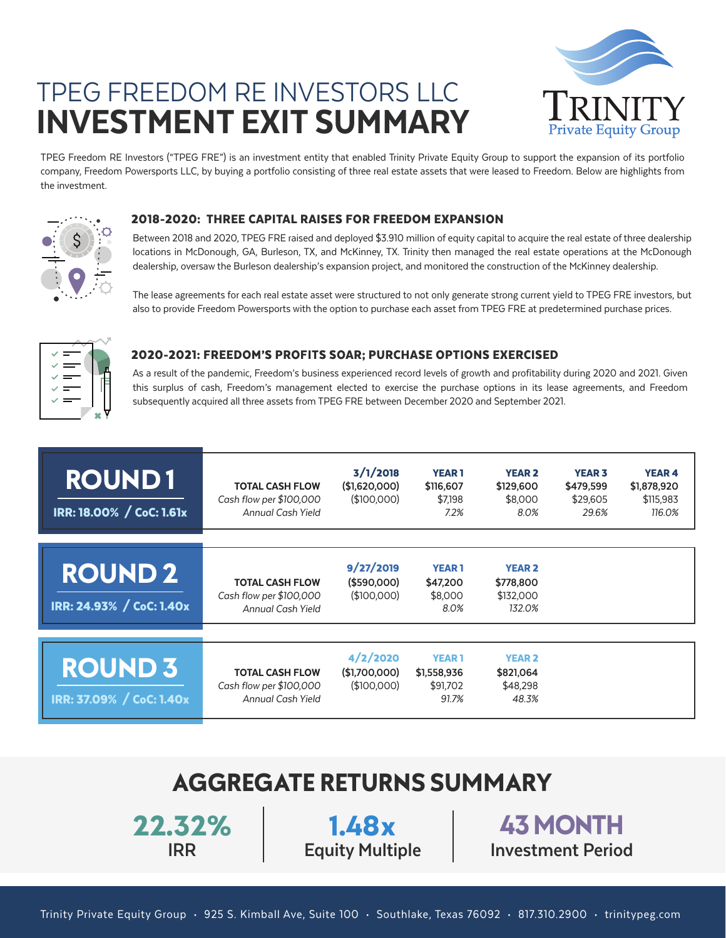# TPEG FREEDOM RE INVESTORS LLC INVESTMENT EXIT SUMMARY



TPEG Freedom RE Investors ("TPEG FRE") is an investment entity that enabled Trinity Private Equity Group to support the expansion of its portfolio company, Freedom Powersports LLC, by buying a portfolio consisting of three real estate assets that were leased to Freedom. Below are highlights from the investment.



#### 2018-2020: THREE CAPITAL RAISES FOR FREEDOM EXPANSION

Between 2018 and 2020, TPEG FRE raised and deployed \$3.910 million of equity capital to acquire the real estate of three dealership locations in McDonough, GA, Burleson, TX, and McKinney, TX. Trinity then managed the real estate operations at the McDonough dealership, oversaw the Burleson dealership's expansion project, and monitored the construction of the McKinney dealership.

The lease agreements for each real estate asset were structured to not only generate strong current yield to TPEG FRE investors, but also to provide Freedom Powersports with the option to purchase each asset from TPEG FRE at predetermined purchase prices.



### 2020-2021: FREEDOM'S PROFITS SOAR; PURCHASE OPTIONS EXERCISED

As a result of the pandemic, Freedom's business experienced record levels of growth and profitability during 2020 and 2021. Given this surplus of cash, Freedom's management elected to exercise the purchase options in its lease agreements, and Freedom subsequently acquired all three assets from TPEG FRE between December 2020 and September 2021.

| <b>ROUND1</b><br>IRR: 18.00% / CoC: 1.61x  | <b>TOTAL CASH FLOW</b><br>Cash flow per \$100,000<br>Annual Cash Yield | 3/1/2018<br>(\$1,620,000)<br>(\$100,000) | <b>YEAR1</b><br>\$116,607<br>\$7,198<br>7.2%     | <b>YEAR 2</b><br>\$129,600<br>\$8,000<br>8.0%     | <b>YEAR 3</b><br>\$479,599<br>\$29,605<br>29.6% | <b>YEAR 4</b><br>\$1,878,920<br>\$115,983<br>116.0% |
|--------------------------------------------|------------------------------------------------------------------------|------------------------------------------|--------------------------------------------------|---------------------------------------------------|-------------------------------------------------|-----------------------------------------------------|
| <b>ROUND 2</b><br>IRR: 24.93% / CoC: 1.40x | <b>TOTAL CASH FLOW</b><br>Cash flow per \$100,000<br>Annual Cash Yield | 9/27/2019<br>(\$590,000)<br>(\$100,000)  | <b>YEAR1</b><br>\$47,200<br>\$8,000<br>8.0%      | <b>YEAR 2</b><br>\$778,800<br>\$132,000<br>132.0% |                                                 |                                                     |
| <b>ROUND 3</b><br>IRR: 37.09% / CoC: 1.40x | <b>TOTAL CASH FLOW</b><br>Cash flow per \$100,000<br>Annual Cash Yield | 4/2/2020<br>(\$1,700,000)<br>\$100,000   | <b>YEAR1</b><br>\$1,558,936<br>\$91,702<br>91.7% | <b>YEAR 2</b><br>\$821,064<br>\$48,298<br>48.3%   |                                                 |                                                     |

## **AGGREGATE RETURNS SUMMARY**

**22.32%**

**IRR Equity Multiple Investment Period 1.48x 43 MONTH**

Trinity Private Equity Group • 925 S. Kimball Ave, Suite 100 • Southlake, Texas 76092 • 817.310.2900 • trinitypeg.com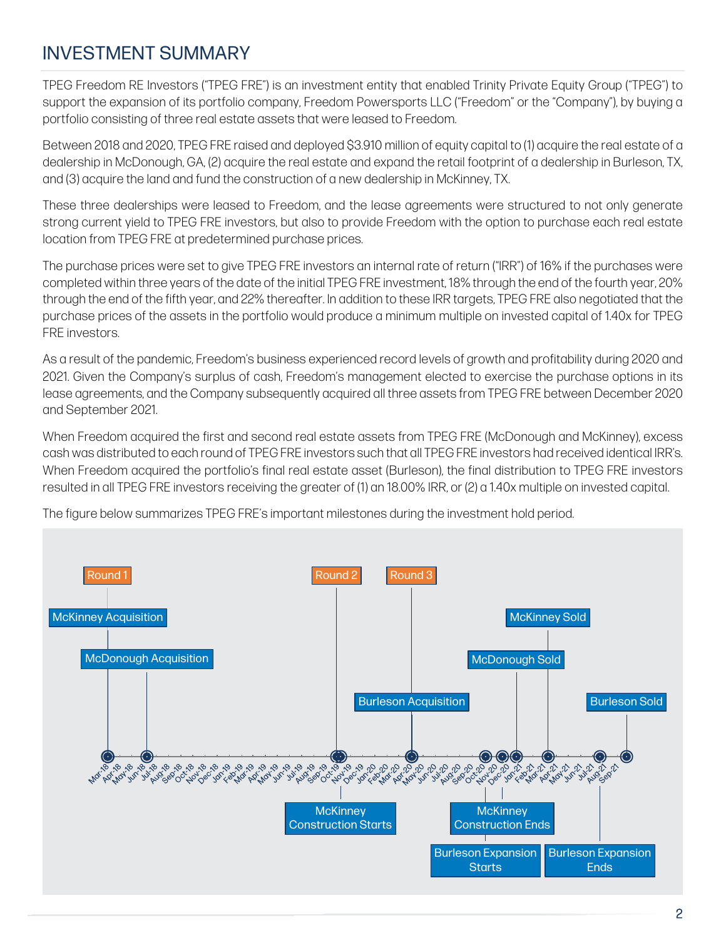## INVESTMENT SUMMARY

TPEG Freedom RE Investors ("TPEG FRE") is an investment entity that enabled Trinity Private Equity Group ("TPEG") to support the expansion of its portfolio company, Freedom Powersports LLC ("Freedom" or the "Company"), by buying a portfolio consisting of three real estate assets that were leased to Freedom.

Between 2018 and 2020, TPEG FRE raised and deployed \$3.910 million of equity capital to (1) acquire the real estate of a dealership in McDonough, GA, (2) acquire the real estate and expand the retail footprint of a dealership in Burleson, TX, and (3) acquire the land and fund the construction of a new dealership in McKinney, TX.

These three dealerships were leased to Freedom, and the lease agreements were structured to not only generate strong current yield to TPEG FRE investors, but also to provide Freedom with the option to purchase each real estate location from TPEG FRE at predetermined purchase prices.

The purchase prices were set to give TPEG FRE investors an internal rate of return ("IRR") of 16% if the purchases were completed within three years of the date of the initial TPEG FRE investment, 18% through the end of the fourth year, 20% through the end of the fifth year, and 22% thereafter. In addition to these IRR targets, TPEG FRE also negotiated that the purchase prices of the assets in the portfolio would produce a minimum multiple on invested capital of 1.40x for TPEG FRE investors.

As a result of the pandemic, Freedom's business experienced record levels of growth and profitability during 2020 and 2021. Given the Company's surplus of cash, Freedom's management elected to exercise the purchase options in its lease agreements, and the Company subsequently acquired all three assets from TPEG FRE between December 2020 and September 2021.

When Freedom acquired the first and second real estate assets from TPEG FRE (McDonough and McKinney), excess cash was distributed to each round of TPEG FRE investors such that all TPEG FRE investors had received identical IRR's. When Freedom acquired the portfolio's final real estate asset (Burleson), the final distribution to TPEG FRE investors resulted in all TPEG FRE investors receiving the greater of (1) an 18.00% IRR, or (2) a 1.40x multiple on invested capital.

The figure below summarizes TPEG FRE's important milestones during the investment hold period.

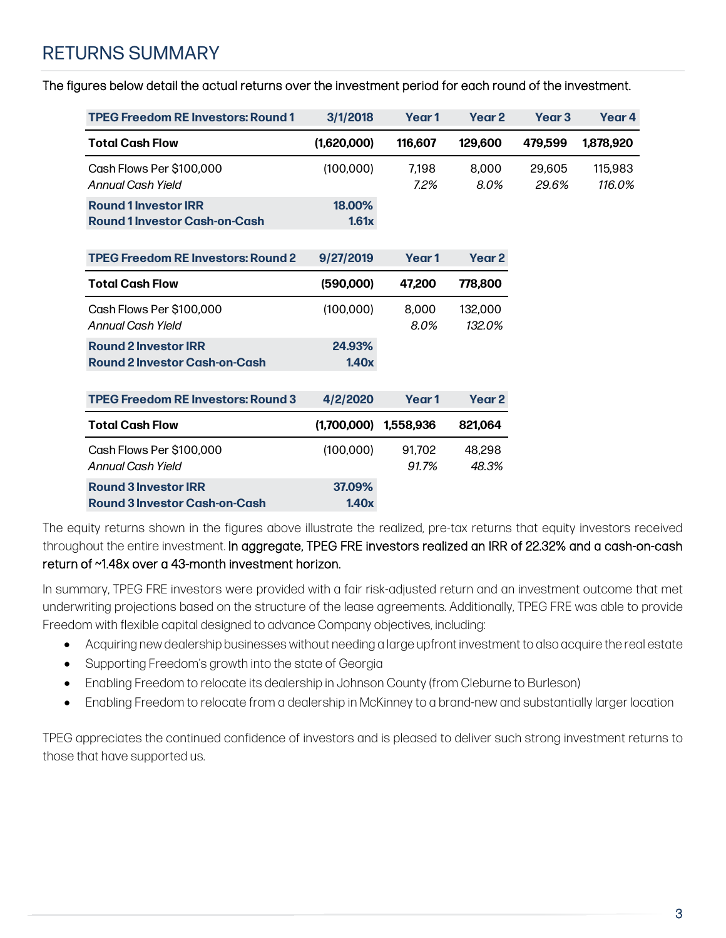### RETURNS SUMMARY

The figures below detail the actual returns over the investment period for each round of the investment.

| <b>TPEG Freedom RE Investors: Round 1</b>                           | 3/1/2018        | Year <sub>1</sub> | Year <sub>2</sub> | Year <sub>3</sub> | Year 4            |
|---------------------------------------------------------------------|-----------------|-------------------|-------------------|-------------------|-------------------|
| <b>Total Cash Flow</b>                                              | (1,620,000)     | 116,607           | 129,600           | 479.599           | 1,878,920         |
| Cash Flows Per \$100,000<br>Annual Cash Yield                       | (100,000)       | 7.198<br>7.2%     | 8.000<br>8.0%     | 29.605<br>29.6%   | 115.983<br>116.0% |
| <b>Round 1 Investor IRR</b><br><b>Round 1 Investor Cash-on-Cash</b> | 18,00%<br>1.61x |                   |                   |                   |                   |
| <b>TPEG Freedom RE Investors: Round 2</b>                           | 9/27/2019       | Year <sub>1</sub> | Year 2            |                   |                   |
| <b>Total Cash Flow</b>                                              | (590,000)       | 47,200            | 778,800           |                   |                   |
| Cash Flows Per \$100,000<br>Annual Cash Yield                       | (100,000)       | 8.000<br>8.0%     | 132,000<br>132.0% |                   |                   |
| <b>Round 2 Investor IRR</b><br><b>Round 2 Investor Cash-on-Cash</b> | 24.93%<br>1.40x |                   |                   |                   |                   |
| <b>TPEG Freedom RE Investors: Round 3</b>                           | 4/2/2020        | Year <sub>1</sub> | Year 2            |                   |                   |
| <b>Total Cash Flow</b>                                              | (1,700,000)     | 1.558.936         | 821,064           |                   |                   |
| Cash Flows Per \$100,000<br><b>Annual Cash Yield</b>                | (100,000)       | 91,702<br>91.7%   | 48,298<br>48.3%   |                   |                   |
| <b>Round 3 Investor IRR</b><br><b>Round 3 Investor Cash-on-Cash</b> | 37.09%<br>1.40x |                   |                   |                   |                   |

The equity returns shown in the figures above illustrate the realized, pre-tax returns that equity investors received throughout the entire investment. In aggregate, TPEG FRE investors realized an IRR of 22.32% and a cash-on-cash return of ~1.48x over a 43-month investment horizon.

In summary, TPEG FRE investors were provided with a fair risk-adjusted return and an investment outcome that met underwriting projections based on the structure of the lease agreements. Additionally, TPEG FRE was able to provide Freedom with flexible capital designed to advance Company objectives, including:

- Acquiring new dealership businesses without needing a large upfront investment to also acquire the real estate
- Supporting Freedom's growth into the state of Georgia
- Enabling Freedom to relocate its dealership in Johnson County (from Cleburne to Burleson)
- Enabling Freedom to relocate from a dealership in McKinney to a brand-new and substantially larger location

TPEG appreciates the continued confidence of investors and is pleased to deliver such strong investment returns to those that have supported us.